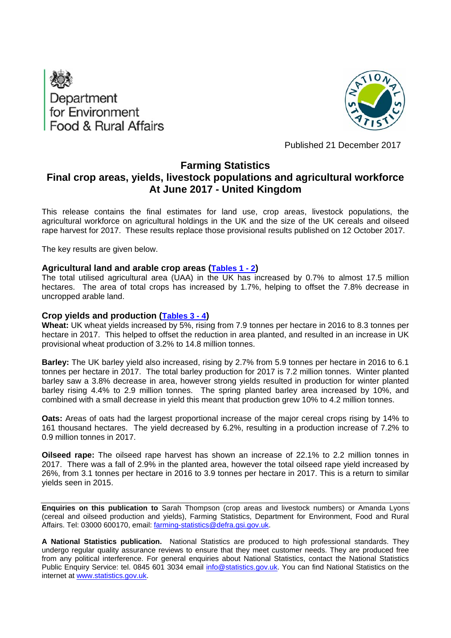



Published 21 December 2017

## **Farming Statistics**

# **Final crop areas, yields, livestock populations and agricultural workforce At June 2017 - United Kingdom**

This release contains the final estimates for land use, crop areas, livestock populations, the agricultural workforce on agricultural holdings in the UK and the size of the UK cereals and oilseed rape harvest for 2017. These results replace those provisional results published on 12 October 2017.

The key results are given below.

### **Agricultural land and arable crop areas ([Tables 1 - 2](#page-9-0))**

The total utilised agricultural area (UAA) in the UK has increased by 0.7% to almost 17.5 million hectares. The area of total crops has increased by 1.7%, helping to offset the 7.8% decrease in uncropped arable land.

### **Crop yields and production [\(Tables 3 - 4](#page-11-0))**

**Wheat:** UK wheat yields increased by 5%, rising from 7.9 tonnes per hectare in 2016 to 8.3 tonnes per hectare in 2017. This helped to offset the reduction in area planted, and resulted in an increase in UK provisional wheat production of 3.2% to 14.8 million tonnes.

**Barley:** The UK barley yield also increased, rising by 2.7% from 5.9 tonnes per hectare in 2016 to 6.1 tonnes per hectare in 2017. The total barley production for 2017 is 7.2 million tonnes. Winter planted barley saw a 3.8% decrease in area, however strong yields resulted in production for winter planted barley rising 4.4% to 2.9 million tonnes. The spring planted barley area increased by 10%, and combined with a small decrease in yield this meant that production grew 10% to 4.2 million tonnes.

**Oats:** Areas of oats had the largest proportional increase of the major cereal crops rising by 14% to 161 thousand hectares. The yield decreased by 6.2%, resulting in a production increase of 7.2% to 0.9 million tonnes in 2017.

**Oilseed rape:** The oilseed rape harvest has shown an increase of 22.1% to 2.2 million tonnes in 2017. There was a fall of 2.9% in the planted area, however the total oilseed rape yield increased by 26%, from 3.1 tonnes per hectare in 2016 to 3.9 tonnes per hectare in 2017. This is a return to similar yields seen in 2015.

**Enquiries on this publication to** Sarah Thompson (crop areas and livestock numbers) or Amanda Lyons (cereal and oilseed production and yields), Farming Statistics, Department for Environment, Food and Rural Affairs. Tel: 03000 600170, email: farming-statistics@defra.gsi.gov.uk.

**A National Statistics publication.** National Statistics are produced to high professional standards. They undergo regular quality assurance reviews to ensure that they meet customer needs. They are produced free from any political interference. For general enquiries about National Statistics, contact the National Statistics Public Enquiry Service: tel. 0845 601 3034 email info@statistics.gov.uk. You can find National Statistics on the internet at www.statistics.gov.uk.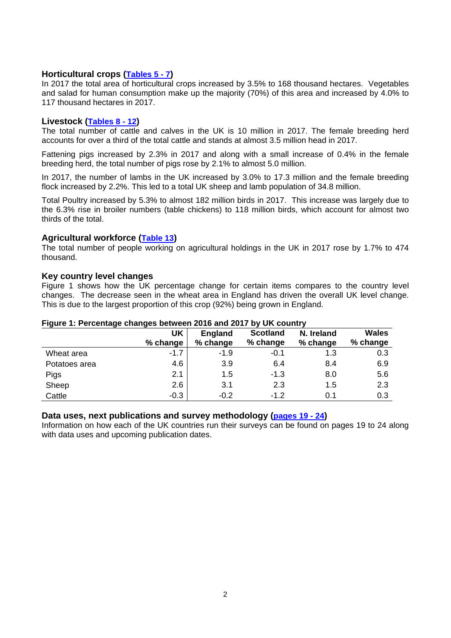## **Horticultural crops ([Tables 5 - 7\)](#page-12-0)**

In 2017 the total area of horticultural crops increased by 3.5% to 168 thousand hectares. Vegetables and salad for human consumption make up the majority (70%) of this area and increased by 4.0% to 117 thousand hectares in 2017.

## **Livestock [\(Tables 8 - 12](#page-14-0))**

The total number of cattle and calves in the UK is 10 million in 2017. The female breeding herd accounts for over a third of the total cattle and stands at almost 3.5 million head in 2017.

Fattening pigs increased by 2.3% in 2017 and along with a small increase of 0.4% in the female breeding herd, the total number of pigs rose by 2.1% to almost 5.0 million.

In 2017, the number of lambs in the UK increased by 3.0% to 17.3 million and the female breeding flock increased by 2.2%. This led to a total UK sheep and lamb population of 34.8 million.

Total Poultry increased by 5.3% to almost 182 million birds in 2017. This increase was largely due to the 6.3% rise in broiler numbers (table chickens) to 118 million birds, which account for almost two thirds of the total.

### **Agricultural workforce ([Table 13\)](#page-17-0)**

The total number of people working on agricultural holdings in the UK in 2017 rose by 1.7% to 474 thousand.

#### **Key country level changes**

Figure 1 shows how the UK percentage change for certain items compares to the country level changes. The decrease seen in the wheat area in England has driven the overall UK level change. This is due to the largest proportion of this crop (92%) being grown in England.

|               | <b>UK</b> | <b>England</b> | <b>Scotland</b> | N. Ireland | <b>Wales</b> |
|---------------|-----------|----------------|-----------------|------------|--------------|
|               | % change  | % change       | % change        | % change   | % change     |
| Wheat area    | $-1.7$    | $-1.9$         | -0.1            | 1.3        | 0.3          |
| Potatoes area | 4.6       | 3.9            | 6.4             | 8.4        | 6.9          |
| Pigs          | 2.1       | 1.5            | $-1.3$          | 8.0        | 5.6          |
| Sheep         | 2.6       | 3.1            | 2.3             | 1.5        | 2.3          |
| Cattle        | $-0.3$    | $-0.2$         | $-1.2$          | 0.1        | 0.3          |

#### **Figure 1: Percentage changes between 2016 and 2017 by UK country**

#### **Data uses, next publications and survey methodology [\(pages 19 - 24](#page-18-0))**

Information on how each of the UK countries run their surveys can be found on pages 19 to 24 along with data uses and upcoming publication dates.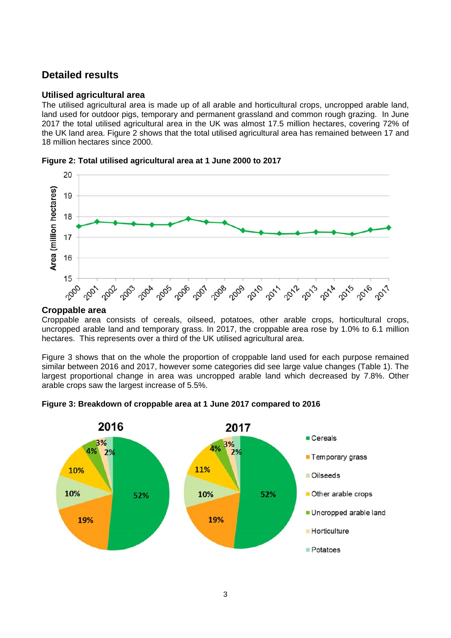## **Detailed results**

### **Utilised agricultural area**

The utilised agricultural area is made up of all arable and horticultural crops, uncropped arable land, land used for outdoor pigs, temporary and permanent grassland and common rough grazing. In June 2017 the total utilised agricultural area in the UK was almost 17.5 million hectares, covering 72% of the UK land area. Figure 2 shows that the total utilised agricultural area has remained between 17 and 18 million hectares since 2000.





#### **Croppable area**

Croppable area consists of cereals, oilseed, potatoes, other arable crops, horticultural crops, uncropped arable land and temporary grass. In 2017, the croppable area rose by 1.0% to 6.1 million hectares. This represents over a third of the UK utilised agricultural area.

Figure 3 shows that on the whole the proportion of croppable land used for each purpose remained similar between 2016 and 2017, however some categories did see large value changes (Table 1). The largest proportional change in area was uncropped arable land which decreased by 7.8%. Other arable crops saw the largest increase of 5.5%.



**Figure 3: Breakdown of croppable area at 1 June 2017 compared to 2016**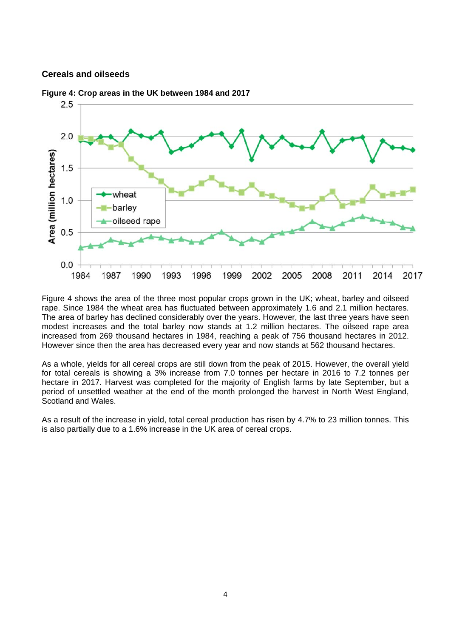### **Cereals and oilseeds**



**Figure 4: Crop areas in the UK between 1984 and 2017**

Figure 4 shows the area of the three most popular crops grown in the UK; wheat, barley and oilseed rape. Since 1984 the wheat area has fluctuated between approximately 1.6 and 2.1 million hectares. The area of barley has declined considerably over the years. However, the last three years have seen modest increases and the total barley now stands at 1.2 million hectares. The oilseed rape area increased from 269 thousand hectares in 1984, reaching a peak of 756 thousand hectares in 2012. However since then the area has decreased every year and now stands at 562 thousand hectares.

As a whole, yields for all cereal crops are still down from the peak of 2015. However, the overall yield for total cereals is showing a 3% increase from 7.0 tonnes per hectare in 2016 to 7.2 tonnes per hectare in 2017. Harvest was completed for the majority of English farms by late September, but a period of unsettled weather at the end of the month prolonged the harvest in North West England, Scotland and Wales.

As a result of the increase in yield, total cereal production has risen by 4.7% to 23 million tonnes. This is also partially due to a 1.6% increase in the UK area of cereal crops.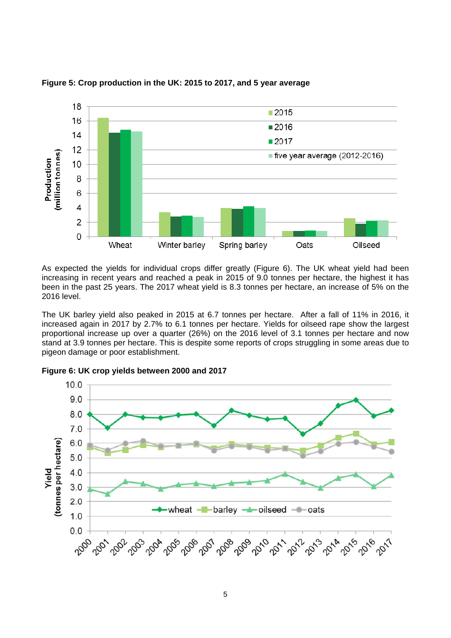

**Figure 5: Crop production in the UK: 2015 to 2017, and 5 year average** 

As expected the yields for individual crops differ greatly (Figure 6). The UK wheat yield had been increasing in recent years and reached a peak in 2015 of 9.0 tonnes per hectare, the highest it has been in the past 25 years. The 2017 wheat yield is 8.3 tonnes per hectare, an increase of 5% on the 2016 level.

The UK barley yield also peaked in 2015 at 6.7 tonnes per hectare. After a fall of 11% in 2016, it increased again in 2017 by 2.7% to 6.1 tonnes per hectare. Yields for oilseed rape show the largest proportional increase up over a quarter (26%) on the 2016 level of 3.1 tonnes per hectare and now stand at 3.9 tonnes per hectare. This is despite some reports of crops struggling in some areas due to pigeon damage or poor establishment.

**Figure 6: UK crop yields between 2000 and 2017** 

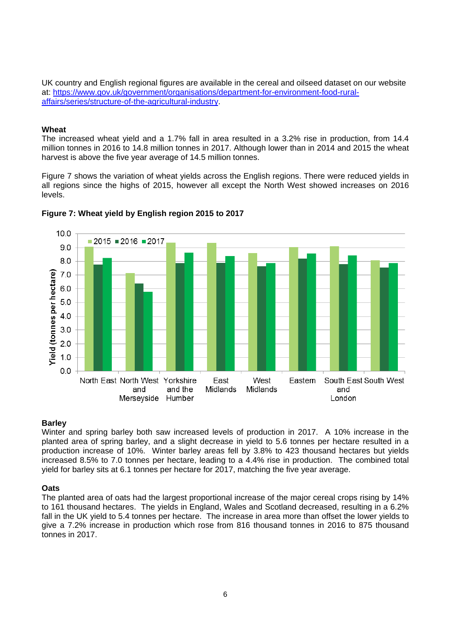UK country and English regional figures are available in the cereal and oilseed dataset on our website at: https://www.gov.uk/government/organisations/department-for-environment-food-ruralaffairs/series/structure-of-the-agricultural-industry.

#### **Wheat**

The increased wheat yield and a 1.7% fall in area resulted in a 3.2% rise in production, from 14.4 million tonnes in 2016 to 14.8 million tonnes in 2017. Although lower than in 2014 and 2015 the wheat harvest is above the five year average of 14.5 million tonnes.

Figure 7 shows the variation of wheat yields across the English regions. There were reduced yields in all regions since the highs of 2015, however all except the North West showed increases on 2016 levels.



## **Figure 7: Wheat yield by English region 2015 to 2017**

#### **Barley**

Winter and spring barley both saw increased levels of production in 2017. A 10% increase in the planted area of spring barley, and a slight decrease in yield to 5.6 tonnes per hectare resulted in a production increase of 10%. Winter barley areas fell by 3.8% to 423 thousand hectares but yields increased 8.5% to 7.0 tonnes per hectare, leading to a 4.4% rise in production. The combined total yield for barley sits at 6.1 tonnes per hectare for 2017, matching the five year average.

#### **Oats**

The planted area of oats had the largest proportional increase of the major cereal crops rising by 14% to 161 thousand hectares. The yields in England, Wales and Scotland decreased, resulting in a 6.2% fall in the UK yield to 5.4 tonnes per hectare. The increase in area more than offset the lower yields to give a 7.2% increase in production which rose from 816 thousand tonnes in 2016 to 875 thousand tonnes in 2017.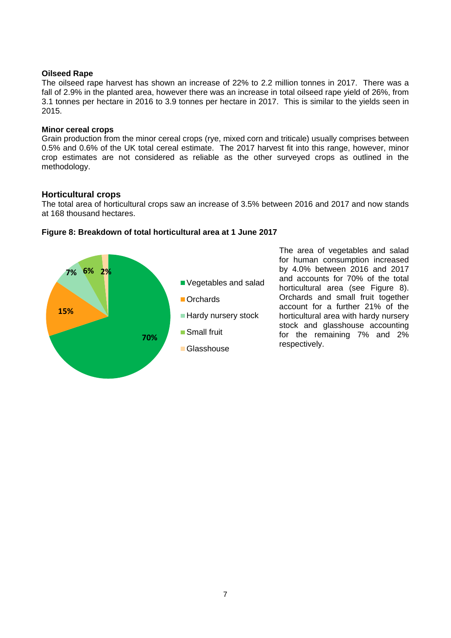#### **Oilseed Rape**

The oilseed rape harvest has shown an increase of 22% to 2.2 million tonnes in 2017. There was a fall of 2.9% in the planted area, however there was an increase in total oilseed rape yield of 26%, from 3.1 tonnes per hectare in 2016 to 3.9 tonnes per hectare in 2017. This is similar to the yields seen in 2015.

#### **Minor cereal crops**

Grain production from the minor cereal crops (rye, mixed corn and triticale) usually comprises between 0.5% and 0.6% of the UK total cereal estimate. The 2017 harvest fit into this range, however, minor crop estimates are not considered as reliable as the other surveyed crops as outlined in the methodology.

## **Horticultural crops**

The total area of horticultural crops saw an increase of 3.5% between 2016 and 2017 and now stands at 168 thousand hectares.



**Figure 8: Breakdown of total horticultural area at 1 June 2017** 

The area of vegetables and salad for human consumption increased by 4.0% between 2016 and 2017 and accounts for 70% of the total horticultural area (see Figure 8). Orchards and small fruit together account for a further 21% of the horticultural area with hardy nursery stock and glasshouse accounting for the remaining 7% and 2% respectively.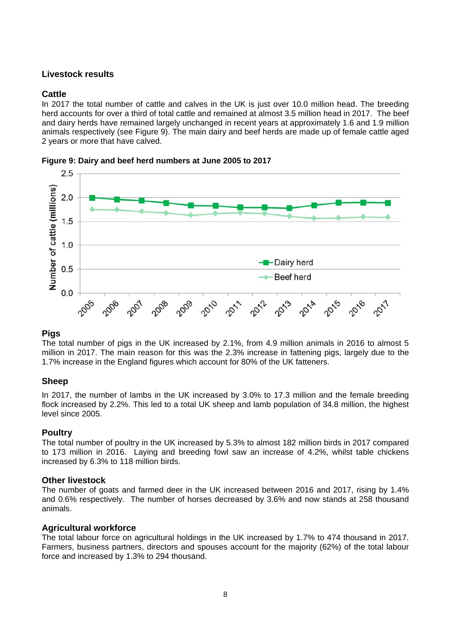## **Livestock results**

## **Cattle**

In 2017 the total number of cattle and calves in the UK is just over 10.0 million head. The breeding herd accounts for over a third of total cattle and remained at almost 3.5 million head in 2017. The beef and dairy herds have remained largely unchanged in recent years at approximately 1.6 and 1.9 million animals respectively (see Figure 9). The main dairy and beef herds are made up of female cattle aged 2 years or more that have calved.



**Figure 9: Dairy and beef herd numbers at June 2005 to 2017**

## **Pigs**

The total number of pigs in the UK increased by 2.1%, from 4.9 million animals in 2016 to almost 5 million in 2017. The main reason for this was the 2.3% increase in fattening pigs, largely due to the 1.7% increase in the England figures which account for 80% of the UK fatteners.

## **Sheep**

In 2017, the number of lambs in the UK increased by 3.0% to 17.3 million and the female breeding flock increased by 2.2%. This led to a total UK sheep and lamb population of 34.8 million, the highest level since 2005.

## **Poultry**

The total number of poultry in the UK increased by 5.3% to almost 182 million birds in 2017 compared to 173 million in 2016. Laying and breeding fowl saw an increase of 4.2%, whilst table chickens increased by 6.3% to 118 million birds.

## **Other livestock**

The number of goats and farmed deer in the UK increased between 2016 and 2017, rising by 1.4% and 0.6% respectively. The number of horses decreased by 3.6% and now stands at 258 thousand animals.

## **Agricultural workforce**

The total labour force on agricultural holdings in the UK increased by 1.7% to 474 thousand in 2017. Farmers, business partners, directors and spouses account for the majority (62%) of the total labour force and increased by 1.3% to 294 thousand.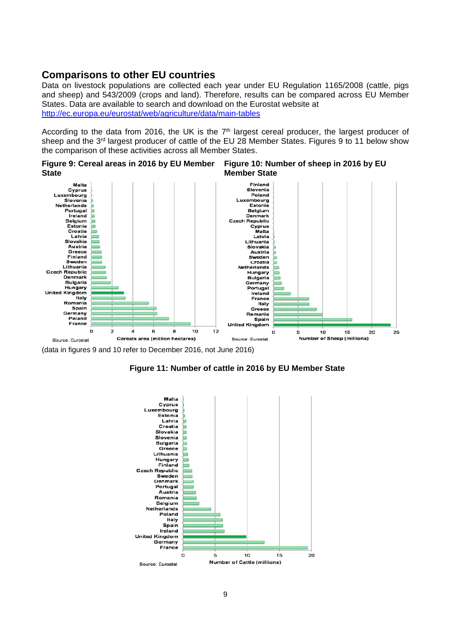## **Comparisons to other EU countries**

Data on livestock populations are collected each year under EU Regulation 1165/2008 (cattle, pigs and sheep) and 543/2009 (crops and land). Therefore, results can be compared across EU Member States. Data are available to search and download on the Eurostat website at http://ec.europa.eu/eurostat/web/agriculture/data/main-tables

According to the data from 2016, the UK is the  $7<sup>th</sup>$  largest cereal producer, the largest producer of sheep and the 3<sup>rd</sup> largest producer of cattle of the EU 28 Member States. Figures 9 to 11 below show the comparison of these activities across all Member States.

**Figure 9: Cereal areas in 2016 by EU Member State Figure 10: Number of sheep in 2016 by EU Member State**



(data in figures 9 and 10 refer to December 2016, not June 2016)



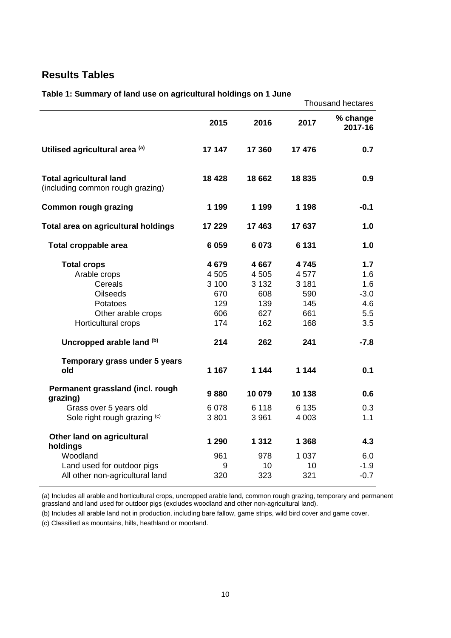## <span id="page-9-0"></span>**Results Tables**

|                                                                    |         |         |               | <b>Thousand hectares</b> |
|--------------------------------------------------------------------|---------|---------|---------------|--------------------------|
|                                                                    | 2015    | 2016    | 2017          | % change<br>2017-16      |
| Utilised agricultural area (a)                                     | 17 147  | 17 360  | 17 476        | 0.7                      |
| <b>Total agricultural land</b><br>(including common rough grazing) | 18 4 28 | 18 662  | 18835         | 0.9                      |
| <b>Common rough grazing</b>                                        | 1 1 9 9 | 1 1 9 9 | 1 1 9 8       | $-0.1$                   |
| Total area on agricultural holdings                                | 17 229  | 17 463  | 17637         | 1.0                      |
| Total croppable area                                               | 6 0 5 9 | 6 0 73  | 6 1 3 1       | 1.0                      |
| <b>Total crops</b>                                                 | 4679    | 4667    | 4745          | 1.7                      |
| Arable crops                                                       | 4 505   | 4505    | 4577          | 1.6                      |
| Cereals                                                            | 3 100   | 3 1 3 2 | 3 1 8 1       | 1.6                      |
| <b>Oilseeds</b>                                                    | 670     | 608     | 590           | $-3.0$                   |
| Potatoes                                                           | 129     | 139     | 145           | 4.6                      |
| Other arable crops                                                 | 606     | 627     | 661           | 5.5                      |
| Horticultural crops                                                | 174     | 162     | 168           | 3.5                      |
| Uncropped arable land (b)                                          | 214     | 262     | 241           | $-7.8$                   |
| Temporary grass under 5 years                                      |         |         |               |                          |
| old                                                                | 1 1 6 7 | 1 144   | 1 1 4 4       | 0.1                      |
| Permanent grassland (incl. rough<br>grazing)                       | 9880    | 10 079  | 10 138        | 0.6                      |
| Grass over 5 years old                                             | 6 0 78  | 6 1 1 8 | 6 1 3 5       | 0.3                      |
| Sole right rough grazing (c)                                       | 3801    | 3 9 6 1 | 4 0 0 3       | 1.1                      |
| Other land on agricultural                                         | 1 290   | 1 3 1 2 | 1 3 6 8       | 4.3                      |
| holdings<br>Woodland                                               | 961     | 978     |               |                          |
|                                                                    | 9       | 10      | 1 0 3 7<br>10 | 6.0<br>$-1.9$            |
| Land used for outdoor pigs                                         | 320     | 323     | 321           | $-0.7$                   |
| All other non-agricultural land                                    |         |         |               |                          |

**Table 1: Summary of land use on agricultural holdings on 1 June** 

(a) Includes all arable and horticultural crops, uncropped arable land, common rough grazing, temporary and permanent grassland and land used for outdoor pigs (excludes woodland and other non-agricultural land).

(b) Includes all arable land not in production, including bare fallow, game strips, wild bird cover and game cover.

(c) Classified as mountains, hills, heathland or moorland.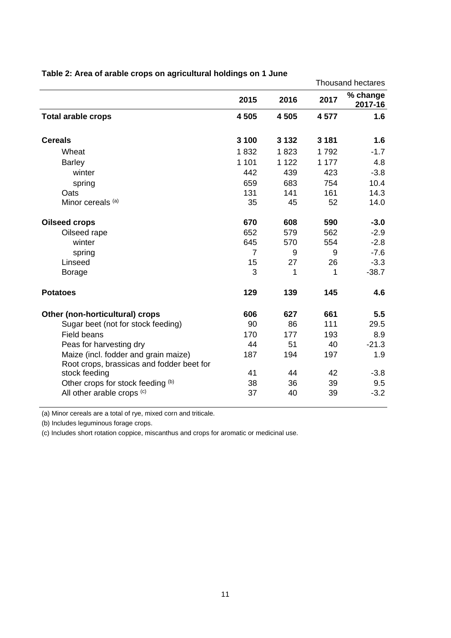|                                                                                   |                |         | <b>Thousand hectares</b> |                     |  |
|-----------------------------------------------------------------------------------|----------------|---------|--------------------------|---------------------|--|
|                                                                                   | 2015           | 2016    | 2017                     | % change<br>2017-16 |  |
| <b>Total arable crops</b>                                                         | 4 5 0 5        | 4 5 0 5 | 4577                     | 1.6                 |  |
| <b>Cereals</b>                                                                    | 3 100          | 3 1 3 2 | 3 1 8 1                  | 1.6                 |  |
| Wheat                                                                             | 1832           | 1823    | 1792                     | $-1.7$              |  |
| <b>Barley</b>                                                                     | 1 1 0 1        | 1 1 2 2 | 1 1 7 7                  | 4.8                 |  |
| winter                                                                            | 442            | 439     | 423                      | $-3.8$              |  |
| spring                                                                            | 659            | 683     | 754                      | 10.4                |  |
| Oats                                                                              | 131            | 141     | 161                      | 14.3                |  |
| Minor cereals (a)                                                                 | 35             | 45      | 52                       | 14.0                |  |
| <b>Oilseed crops</b>                                                              | 670            | 608     | 590                      | $-3.0$              |  |
| Oilseed rape                                                                      | 652            | 579     | 562                      | $-2.9$              |  |
| winter                                                                            | 645            | 570     | 554                      | $-2.8$              |  |
| spring                                                                            | $\overline{7}$ | 9       | 9                        | $-7.6$              |  |
| Linseed                                                                           | 15             | 27      | 26                       | $-3.3$              |  |
| <b>Borage</b>                                                                     | 3              | 1       | 1                        | $-38.7$             |  |
| <b>Potatoes</b>                                                                   | 129            | 139     | 145                      | 4.6                 |  |
| Other (non-horticultural) crops                                                   | 606            | 627     | 661                      | 5.5                 |  |
| Sugar beet (not for stock feeding)                                                | 90             | 86      | 111                      | 29.5                |  |
| <b>Field beans</b>                                                                | 170            | 177     | 193                      | 8.9                 |  |
| Peas for harvesting dry                                                           | 44             | 51      | 40                       | $-21.3$             |  |
| Maize (incl. fodder and grain maize)<br>Root crops, brassicas and fodder beet for | 187            | 194     | 197                      | 1.9                 |  |
| stock feeding                                                                     | 41             | 44      | 42                       | $-3.8$              |  |
| Other crops for stock feeding (b)                                                 | 38             | 36      | 39                       | 9.5                 |  |
| All other arable crops (c)                                                        | 37             | 40      | 39                       | $-3.2$              |  |

## **Table 2: Area of arable crops on agricultural holdings on 1 June**

(a) Minor cereals are a total of rye, mixed corn and triticale.

(b) Includes leguminous forage crops.

(c) Includes short rotation coppice, miscanthus and crops for aromatic or medicinal use.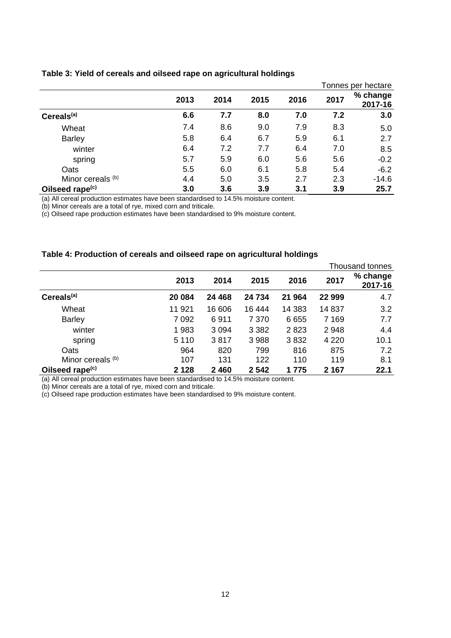<span id="page-11-0"></span>

|                             |      |      |      |      |      | Tonnes per hectare  |
|-----------------------------|------|------|------|------|------|---------------------|
|                             | 2013 | 2014 | 2015 | 2016 | 2017 | % change<br>2017-16 |
| Cereals <sup>(a)</sup>      | 6.6  | 7.7  | 8.0  | 7.0  | 7.2  | 3.0                 |
| Wheat                       | 7.4  | 8.6  | 9.0  | 7.9  | 8.3  | 5.0                 |
| <b>Barley</b>               | 5.8  | 6.4  | 6.7  | 5.9  | 6.1  | 2.7                 |
| winter                      | 6.4  | 7.2  | 7.7  | 6.4  | 7.0  | 8.5                 |
| spring                      | 5.7  | 5.9  | 6.0  | 5.6  | 5.6  | $-0.2$              |
| Oats                        | 5.5  | 6.0  | 6.1  | 5.8  | 5.4  | $-6.2$              |
| Minor cereals (b)           | 4.4  | 5.0  | 3.5  | 2.7  | 2.3  | $-14.6$             |
| Oilseed rape <sup>(c)</sup> | 3.0  | 3.6  | 3.9  | 3.1  | 3.9  | 25.7                |

(a) All cereal production estimates have been standardised to 14.5% moisture content.

(b) Minor cereals are a total of rye, mixed corn and triticale.

(c) Oilseed rape production estimates have been standardised to 9% moisture content.

#### **Table 4: Production of cereals and oilseed rape on agricultural holdings**

|                             |         |         |         |        |         | Thousand tonnes     |
|-----------------------------|---------|---------|---------|--------|---------|---------------------|
|                             | 2013    | 2014    | 2015    | 2016   | 2017    | % change<br>2017-16 |
| Cereals <sup>(a)</sup>      | 20 084  | 24 4 68 | 24 734  | 21 964 | 22 999  | 4.7                 |
| Wheat                       | 11 921  | 16 606  | 16 444  | 14 383 | 14 837  | 3.2                 |
| <b>Barley</b>               | 7 0 9 2 | 6911    | 7 3 7 0 | 6655   | 7 1 6 9 | 7.7                 |
| winter                      | 1983    | 3 0 9 4 | 3 3 8 2 | 2823   | 2948    | 4.4                 |
| spring                      | 5 1 1 0 | 3817    | 3 9 8 8 | 3832   | 4 2 2 0 | 10.1                |
| Oats                        | 964     | 820     | 799     | 816    | 875     | 7.2                 |
| Minor cereals (b)           | 107     | 131     | 122     | 110    | 119     | 8.1                 |
| Oilseed rape <sup>(c)</sup> | 2 1 2 8 | 2 4 6 0 | 2 5 4 2 | 1 775  | 2 1 6 7 | 22.1                |

(a) All cereal production estimates have been standardised to 14.5% moisture content.

(b) Minor cereals are a total of rye, mixed corn and triticale.

(c) Oilseed rape production estimates have been standardised to 9% moisture content.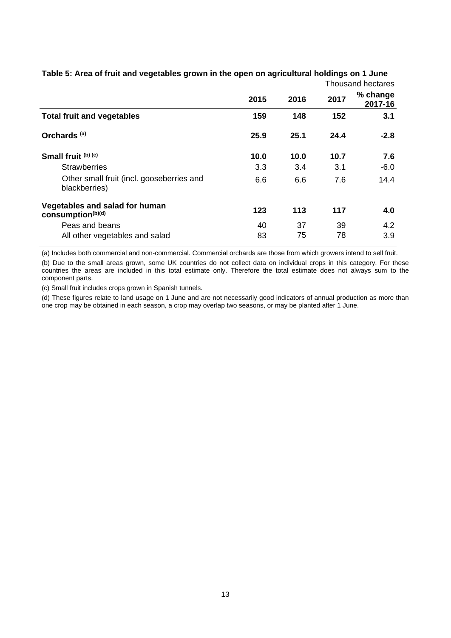|                                                            |      |      |      | i nousand nectares  |
|------------------------------------------------------------|------|------|------|---------------------|
|                                                            | 2015 | 2016 | 2017 | % change<br>2017-16 |
| <b>Total fruit and vegetables</b>                          | 159  | 148  | 152  | 3.1                 |
| Orchards <sup>(a)</sup>                                    | 25.9 | 25.1 | 24.4 | $-2.8$              |
| Small fruit (b) (c)                                        | 10.0 | 10.0 | 10.7 | 7.6                 |
| <b>Strawberries</b>                                        | 3.3  | 3.4  | 3.1  | $-6.0$              |
| Other small fruit (incl. gooseberries and<br>blackberries) | 6.6  | 6.6  | 7.6  | 14.4                |
| Vegetables and salad for human<br>consumption(b)(d)        | 123  | 113  | 117  | 4.0                 |
| Peas and beans                                             | 40   | 37   | 39   | 4.2                 |
| All other vegetables and salad                             | 83   | 75   | 78   | 3.9                 |

<span id="page-12-0"></span>**Table 5: Area of fruit and vegetables grown in the open on agricultural holdings on 1 June**  Thousand hectares

(a) Includes both commercial and non-commercial. Commercial orchards are those from which growers intend to sell fruit.

(b) Due to the small areas grown, some UK countries do not collect data on individual crops in this category. For these countries the areas are included in this total estimate only. Therefore the total estimate does not always sum to the component parts.

(c) Small fruit includes crops grown in Spanish tunnels.

(d) These figures relate to land usage on 1 June and are not necessarily good indicators of annual production as more than one crop may be obtained in each season, a crop may overlap two seasons, or may be planted after 1 June.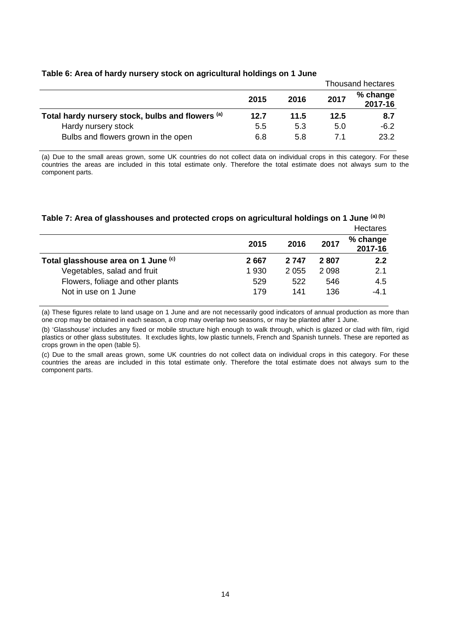|                                                  |      |      | <b>Thousand hectares</b> |                     |  |
|--------------------------------------------------|------|------|--------------------------|---------------------|--|
|                                                  | 2015 | 2016 | 2017                     | % change<br>2017-16 |  |
| Total hardy nursery stock, bulbs and flowers (a) | 12.7 | 11.5 | 12.5                     | 8.7                 |  |
| Hardy nursery stock                              | 5.5  | 5.3  | 5.0                      | $-6.2$              |  |
| Bulbs and flowers grown in the open              | 6.8  | 5.8  | 71                       | 23.2                |  |

#### **Table 6: Area of hardy nursery stock on agricultural holdings on 1 June**

(a) Due to the small areas grown, some UK countries do not collect data on individual crops in this category. For these countries the areas are included in this total estimate only. Therefore the total estimate does not always sum to the component parts.

## **Table 7: Area of glasshouses and protected crops on agricultural holdings on 1 June (a) (b)**

|                                     |         |         |      | <b>Hectares</b>     |
|-------------------------------------|---------|---------|------|---------------------|
|                                     | 2015    | 2016    | 2017 | % change<br>2017-16 |
| Total glasshouse area on 1 June (c) | 2667    | 2 7 4 7 | 2807 | 2.2                 |
| Vegetables, salad and fruit         | 1 9 3 0 | 2 0 5 5 | 2098 | 2.1                 |
| Flowers, foliage and other plants   | 529     | 522     | 546  | 4.5                 |
| Not in use on 1 June                | 179     | 141     | 136  | $-4.1$              |

(a) These figures relate to land usage on 1 June and are not necessarily good indicators of annual production as more than one crop may be obtained in each season, a crop may overlap two seasons, or may be planted after 1 June.

(b) 'Glasshouse' includes any fixed or mobile structure high enough to walk through, which is glazed or clad with film, rigid plastics or other glass substitutes. It excludes lights, low plastic tunnels, French and Spanish tunnels. These are reported as crops grown in the open (table 5).

(c) Due to the small areas grown, some UK countries do not collect data on individual crops in this category. For these countries the areas are included in this total estimate only. Therefore the total estimate does not always sum to the component parts.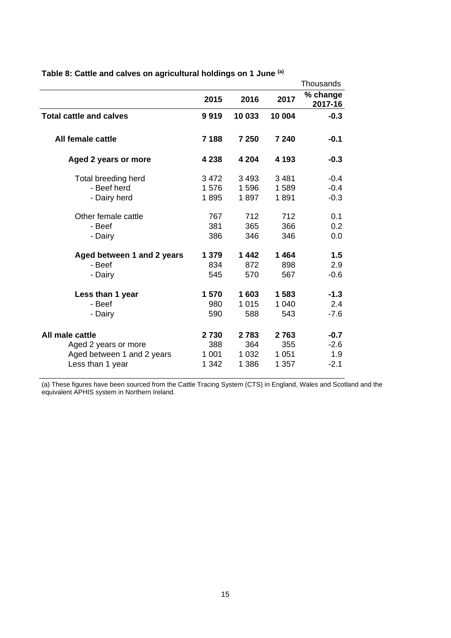|                                |         |         |         | Thousands           |
|--------------------------------|---------|---------|---------|---------------------|
|                                | 2015    | 2016    | 2017    | % change<br>2017-16 |
| <b>Total cattle and calves</b> | 9919    | 10 033  | 10 004  | $-0.3$              |
| All female cattle              | 7 1 8 8 | 7 250   | 7 240   | $-0.1$              |
| Aged 2 years or more           | 4 2 3 8 | 4 2 0 4 | 4 1 9 3 | $-0.3$              |
| Total breeding herd            | 3 4 7 2 | 3 4 9 3 | 3481    | $-0.4$              |
| - Beef herd                    | 1576    | 1596    | 1589    | $-0.4$              |
| - Dairy herd                   | 1895    | 1897    | 1891    | $-0.3$              |
| Other female cattle            | 767     | 712     | 712     | 0.1                 |
| - Beef                         | 381     | 365     | 366     | 0.2                 |
| - Dairy                        | 386     | 346     | 346     | 0.0                 |
| Aged between 1 and 2 years     | 1 3 7 9 | 1442    | 1464    | 1.5                 |
| - Beef                         | 834     | 872     | 898     | 2.9                 |
| - Dairy                        | 545     | 570     | 567     | $-0.6$              |
| Less than 1 year               | 1 570   | 1603    | 1583    | $-1.3$              |
| - Beef                         | 980     | 1 0 1 5 | 1 0 4 0 | 2.4                 |
| - Dairy                        | 590     | 588     | 543     | $-7.6$              |
| All male cattle                | 2730    | 2783    | 2763    | $-0.7$              |
| Aged 2 years or more           | 388     | 364     | 355     | $-2.6$              |
| Aged between 1 and 2 years     | 1 0 0 1 | 1 0 3 2 | 1 0 5 1 | 1.9                 |
| Less than 1 year               | 1 342   | 1 3 8 6 | 1 357   | $-2.1$              |

<span id="page-14-0"></span>**Table 8: Cattle and calves on agricultural holdings on 1 June (a)**

(a) These figures have been sourced from the Cattle Tracing System (CTS) in England, Wales and Scotland and the equivalent APHIS system in Northern Ireland.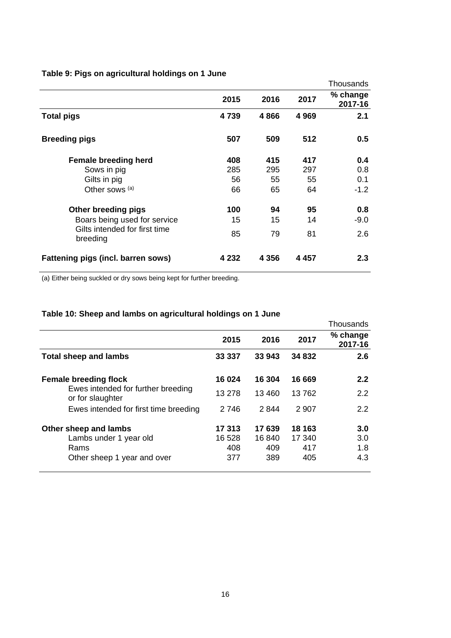|                                           |       |         |         | Thousands           |
|-------------------------------------------|-------|---------|---------|---------------------|
|                                           | 2015  | 2016    | 2017    | % change<br>2017-16 |
| <b>Total pigs</b>                         | 4739  | 4866    | 4 9 6 9 | 2.1                 |
| <b>Breeding pigs</b>                      | 507   | 509     | 512     | 0.5                 |
| <b>Female breeding herd</b>               | 408   | 415     | 417     | 0.4                 |
| Sows in pig                               | 285   | 295     | 297     | 0.8                 |
| Gilts in pig                              | 56    | 55      | 55      | 0.1                 |
| Other sows (a)                            | 66    | 65      | 64      | $-1.2$              |
| Other breeding pigs                       | 100   | 94      | 95      | 0.8                 |
| Boars being used for service              | 15    | 15      | 14      | $-9.0$              |
| Gilts intended for first time<br>breeding | 85    | 79      | 81      | 2.6                 |
| Fattening pigs (incl. barren sows)        | 4 232 | 4 3 5 6 | 4 4 5 7 | 2.3                 |

## **Table 9: Pigs on agricultural holdings on 1 June**

(a) Either being suckled or dry sows being kept for further breeding.

## **Table 10: Sheep and lambs on agricultural holdings on 1 June**

|                                                                                        |         |        |         | Thousands             |
|----------------------------------------------------------------------------------------|---------|--------|---------|-----------------------|
|                                                                                        | 2015    | 2016   | 2017    | $%$ change<br>2017-16 |
| <b>Total sheep and lambs</b>                                                           | 33 337  | 33 943 | 34 832  | 2.6                   |
| <b>Female breeding flock</b><br>Ewes intended for further breeding<br>or for slaughter | 16 024  | 16 304 | 16 669  | 2.2 <sub>2</sub>      |
|                                                                                        | 13 278  | 13460  | 13762   | $2.2^{\circ}$         |
| Ewes intended for first time breeding                                                  | 2 7 4 6 | 2844   | 2 9 0 7 | $2.2^{\circ}$         |
| Other sheep and lambs                                                                  | 17 313  | 17639  | 18 163  | 3.0                   |
| Lambs under 1 year old                                                                 | 16 528  | 16 840 | 17 340  | 3.0                   |
| Rams                                                                                   | 408     | 409    | 417     | 1.8                   |
| Other sheep 1 year and over                                                            | 377     | 389    | 405     | 4.3                   |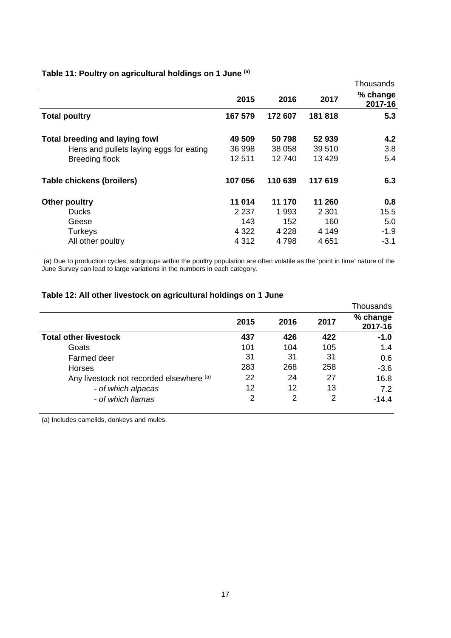|                                         |         |         |         | Thousands           |
|-----------------------------------------|---------|---------|---------|---------------------|
|                                         | 2015    | 2016    | 2017    | % change<br>2017-16 |
| <b>Total poultry</b>                    | 167 579 | 172 607 | 181818  | 5.3                 |
| <b>Total breeding and laying fowl</b>   | 49 509  | 50798   | 52 939  | 4.2                 |
| Hens and pullets laying eggs for eating | 36 998  | 38 058  | 39 510  | 3.8                 |
| <b>Breeding flock</b>                   | 12511   | 12740   | 13 4 29 | 5.4                 |
| Table chickens (broilers)               | 107 056 | 110 639 | 117 619 | 6.3                 |
| Other poultry                           | 11 014  | 11 170  | 11 260  | 0.8                 |
| <b>Ducks</b>                            | 2 2 3 7 | 1993    | 2 3 0 1 | 15.5                |
| Geese                                   | 143     | 152     | 160     | 5.0                 |
| <b>Turkeys</b>                          | 4 3 2 2 | 4 2 2 8 | 4 149   | $-1.9$              |
| All other poultry                       | 4 3 1 2 | 4 7 9 8 | 4 6 5 1 | $-3.1$              |

## **Table 11: Poultry on agricultural holdings on 1 June (a)**

 (a) Due to production cycles, subgroups within the poultry population are often volatile as the 'point in time' nature of the June Survey can lead to large variations in the numbers in each category.

## **Table 12: All other livestock on agricultural holdings on 1 June**

|                                          |      |      |      | Thousands           |
|------------------------------------------|------|------|------|---------------------|
|                                          | 2015 | 2016 | 2017 | % change<br>2017-16 |
| <b>Total other livestock</b>             | 437  | 426  | 422  | $-1.0$              |
| Goats                                    | 101  | 104  | 105  | 1.4                 |
| Farmed deer                              | 31   | 31   | 31   | 0.6                 |
| Horses                                   | 283  | 268  | 258  | $-3.6$              |
| Any livestock not recorded elsewhere (a) | 22   | 24   | 27   | 16.8                |
| - of which alpacas                       | 12   | 12   | 13   | 7.2                 |
| - of which llamas                        | 2    | 2    | 2    | $-14.4$             |

(a) Includes camelids, donkeys and mules.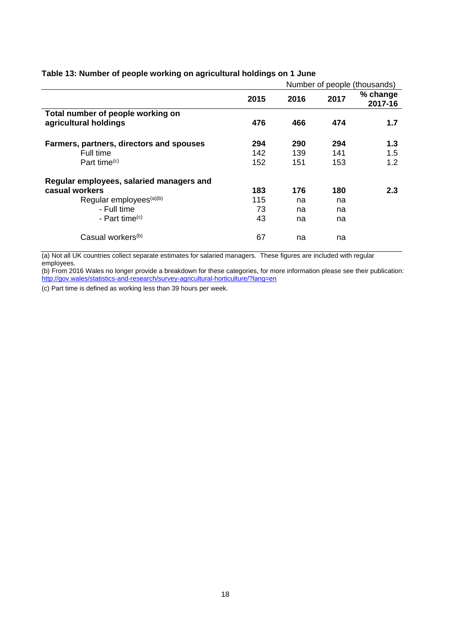|                                          | Number of people (thousands) |      |      |                     |
|------------------------------------------|------------------------------|------|------|---------------------|
|                                          | 2015                         | 2016 | 2017 | % change<br>2017-16 |
| Total number of people working on        |                              |      |      |                     |
| agricultural holdings                    | 476                          | 466  | 474  | 1.7                 |
| Farmers, partners, directors and spouses | 294                          | 290  | 294  | 1.3                 |
| Full time                                | 142                          | 139  | 141  | 1.5                 |
| Part time <sup>(c)</sup>                 | 152                          | 151  | 153  | 1.2                 |
| Regular employees, salaried managers and |                              |      |      |                     |
| casual workers                           | 183                          | 176  | 180  | 2.3                 |
| Regular employees <sup>(a)(b)</sup>      | 115                          | na   | na   |                     |
| - Full time                              | 73                           | na   | na   |                     |
| - Part time $(c)$                        | 43                           | na   | na   |                     |
| Casual workers <sup>(b)</sup>            | 67                           | na   | na   |                     |

### <span id="page-17-0"></span>**Table 13: Number of people working on agricultural holdings on 1 June**

(a) Not all UK countries collect separate estimates for salaried managers. These figures are included with regular employees.

(b) From 2016 Wales no longer provide a breakdown for these categories, for more information please see their publication: http://gov.wales/statistics-and-research/survey-agricultural-horticulture/?lang=en

(c) Part time is defined as working less than 39 hours per week.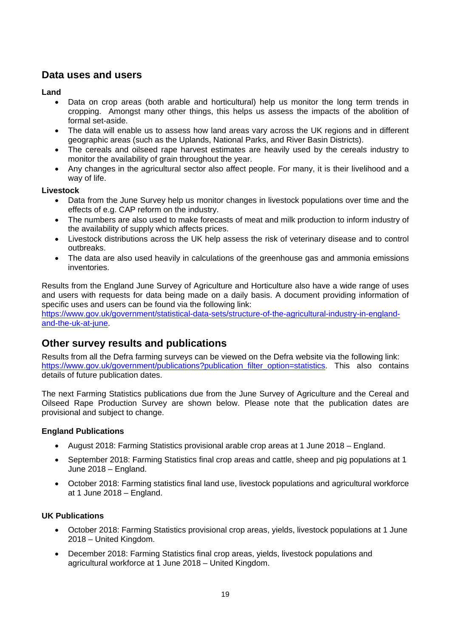## <span id="page-18-0"></span>**Data uses and users**

## **Land**

- Data on crop areas (both arable and horticultural) help us monitor the long term trends in cropping. Amongst many other things, this helps us assess the impacts of the abolition of formal set-aside.
- The data will enable us to assess how land areas vary across the UK regions and in different geographic areas (such as the Uplands, National Parks, and River Basin Districts).
- The cereals and oilseed rape harvest estimates are heavily used by the cereals industry to monitor the availability of grain throughout the year.
- Any changes in the agricultural sector also affect people. For many, it is their livelihood and a way of life.

## **Livestock**

- Data from the June Survey help us monitor changes in livestock populations over time and the effects of e.g. CAP reform on the industry.
- The numbers are also used to make forecasts of meat and milk production to inform industry of the availability of supply which affects prices.
- Livestock distributions across the UK help assess the risk of veterinary disease and to control outbreaks.
- The data are also used heavily in calculations of the greenhouse gas and ammonia emissions inventories.

Results from the England June Survey of Agriculture and Horticulture also have a wide range of uses and users with requests for data being made on a daily basis. A document providing information of specific uses and users can be found via the following link:

https://www.gov.uk/government/statistical-data-sets/structure-of-the-agricultural-industry-in-englandand-the-uk-at-june.

## **Other survey results and publications**

Results from all the Defra farming surveys can be viewed on the Defra website via the following link: https://www.gov.uk/government/publications?publication\_filter\_option=statistics. This also contains details of future publication dates.

The next Farming Statistics publications due from the June Survey of Agriculture and the Cereal and Oilseed Rape Production Survey are shown below. Please note that the publication dates are provisional and subject to change.

## **England Publications**

- August 2018: Farming Statistics provisional arable crop areas at 1 June 2018 England.
- September 2018: Farming Statistics final crop areas and cattle, sheep and pig populations at 1 June 2018 – England.
- October 2018: Farming statistics final land use, livestock populations and agricultural workforce at 1 June 2018 – England.

## **UK Publications**

- October 2018: Farming Statistics provisional crop areas, yields, livestock populations at 1 June 2018 – United Kingdom.
- December 2018: Farming Statistics final crop areas, yields, livestock populations and agricultural workforce at 1 June 2018 – United Kingdom.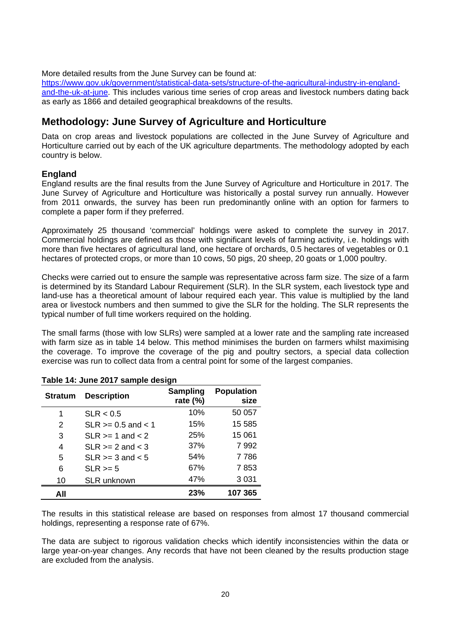More detailed results from the June Survey can be found at:

https://www.gov.uk/government/statistical-data-sets/structure-of-the-agricultural-industry-in-englandand-the-uk-at-june. This includes various time series of crop areas and livestock numbers dating back as early as 1866 and detailed geographical breakdowns of the results.

# **Methodology: June Survey of Agriculture and Horticulture**

Data on crop areas and livestock populations are collected in the June Survey of Agriculture and Horticulture carried out by each of the UK agriculture departments. The methodology adopted by each country is below.

## **England**

England results are the final results from the June Survey of Agriculture and Horticulture in 2017. The June Survey of Agriculture and Horticulture was historically a postal survey run annually. However from 2011 onwards, the survey has been run predominantly online with an option for farmers to complete a paper form if they preferred.

Approximately 25 thousand 'commercial' holdings were asked to complete the survey in 2017. Commercial holdings are defined as those with significant levels of farming activity, i.e. holdings with more than five hectares of agricultural land, one hectare of orchards, 0.5 hectares of vegetables or 0.1 hectares of protected crops, or more than 10 cows, 50 pigs, 20 sheep, 20 goats or 1,000 poultry.

Checks were carried out to ensure the sample was representative across farm size. The size of a farm is determined by its Standard Labour Requirement (SLR). In the SLR system, each livestock type and land-use has a theoretical amount of labour required each year. This value is multiplied by the land area or livestock numbers and then summed to give the SLR for the holding. The SLR represents the typical number of full time workers required on the holding.

The small farms (those with low SLRs) were sampled at a lower rate and the sampling rate increased with farm size as in table 14 below. This method minimises the burden on farmers whilst maximising the coverage. To improve the coverage of the pig and poultry sectors, a special data collection exercise was run to collect data from a central point for some of the largest companies.

| <b>Stratum</b> | <b>Description</b>      | Sampling<br>rate $(\%)$ | <b>Population</b><br>size |
|----------------|-------------------------|-------------------------|---------------------------|
| 1              | SLR < 0.5               | 10%                     | 50 057                    |
| 2              | $SLR \ge 0.5$ and $< 1$ | 15%                     | 15 585                    |
| 3              | $SLR \geq 1$ and $< 2$  | 25%                     | 15 061                    |
| 4              | $SLR \ge 2$ and $< 3$   | 37%                     | 7992                      |
| 5              | $SLR \geq 3$ and $< 5$  | 54%                     | 7 7 8 6                   |
| 6              | $SLR \ge 5$             | 67%                     | 7853                      |
| 10             | <b>SLR unknown</b>      | 47%                     | 3 0 3 1                   |
| All            |                         | 23%                     | 107 365                   |

|  |  | Table 14: June 2017 sample design |  |
|--|--|-----------------------------------|--|
|  |  |                                   |  |

The results in this statistical release are based on responses from almost 17 thousand commercial holdings, representing a response rate of 67%.

The data are subject to rigorous validation checks which identify inconsistencies within the data or large year-on-year changes. Any records that have not been cleaned by the results production stage are excluded from the analysis.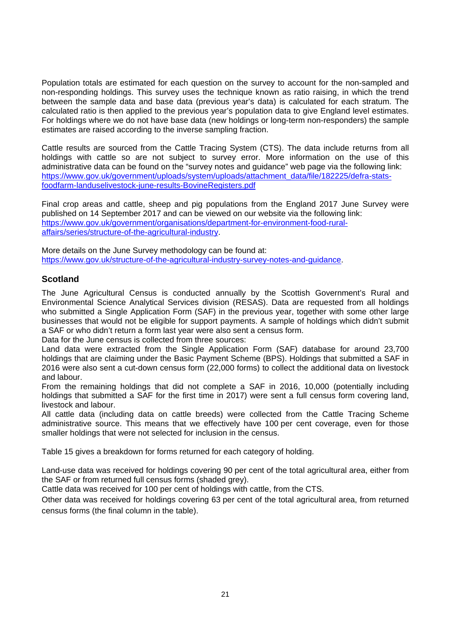Population totals are estimated for each question on the survey to account for the non-sampled and non-responding holdings. This survey uses the technique known as ratio raising, in which the trend between the sample data and base data (previous year's data) is calculated for each stratum. The calculated ratio is then applied to the previous year's population data to give England level estimates. For holdings where we do not have base data (new holdings or long-term non-responders) the sample estimates are raised according to the inverse sampling fraction.

Cattle results are sourced from the Cattle Tracing System (CTS). The data include returns from all holdings with cattle so are not subject to survey error. More information on the use of this administrative data can be found on the "survey notes and guidance" web page via the following link: https://www.gov.uk/government/uploads/system/uploads/attachment\_data/file/182225/defra-statsfoodfarm-landuselivestock-june-results-BovineRegisters.pdf

Final crop areas and cattle, sheep and pig populations from the England 2017 June Survey were published on 14 September 2017 and can be viewed on our website via the following link: https://www.gov.uk/government/organisations/department-for-environment-food-ruralaffairs/series/structure-of-the-agricultural-industry.

More details on the June Survey methodology can be found at: https://www.gov.uk/structure-of-the-agricultural-industry-survey-notes-and-guidance.

## **Scotland**

The June Agricultural Census is conducted annually by the Scottish Government's Rural and Environmental Science Analytical Services division (RESAS). Data are requested from all holdings who submitted a Single Application Form (SAF) in the previous year, together with some other large businesses that would not be eligible for support payments. A sample of holdings which didn't submit a SAF or who didn't return a form last year were also sent a census form.

Data for the June census is collected from three sources:

Land data were extracted from the Single Application Form (SAF) database for around 23,700 holdings that are claiming under the Basic Payment Scheme (BPS). Holdings that submitted a SAF in 2016 were also sent a cut-down census form (22,000 forms) to collect the additional data on livestock and labour.

From the remaining holdings that did not complete a SAF in 2016, 10,000 (potentially including holdings that submitted a SAF for the first time in 2017) were sent a full census form covering land, livestock and labour.

All cattle data (including data on cattle breeds) were collected from the Cattle Tracing Scheme administrative source. This means that we effectively have 100 per cent coverage, even for those smaller holdings that were not selected for inclusion in the census.

Table 15 gives a breakdown for forms returned for each category of holding.

Land-use data was received for holdings covering 90 per cent of the total agricultural area, either from the SAF or from returned full census forms (shaded grey).

Cattle data was received for 100 per cent of holdings with cattle, from the CTS.

Other data was received for holdings covering 63 per cent of the total agricultural area, from returned census forms (the final column in the table).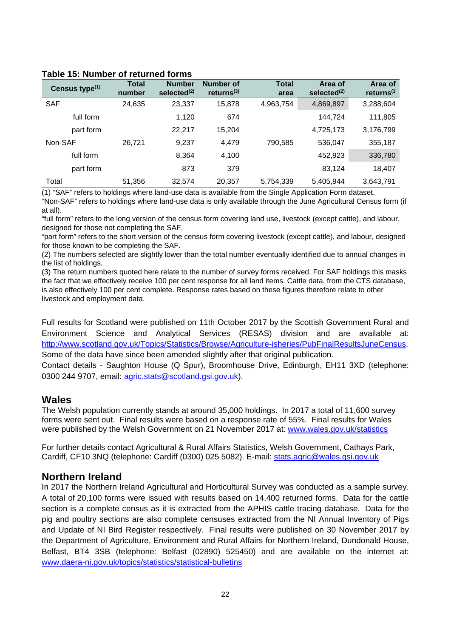| Census type <sup>(1)</sup> | <b>Total</b><br>number | <b>Number</b><br>selected <sup>(2)</sup> | <b>Number of</b><br>returns <sup>(3)</sup> | <b>Total</b><br>area | Area of<br>selected <sup>(2)</sup> | Area of<br>returns $(3)$ |
|----------------------------|------------------------|------------------------------------------|--------------------------------------------|----------------------|------------------------------------|--------------------------|
| <b>SAF</b>                 | 24,635                 | 23,337                                   | 15.878                                     | 4,963,754            | 4,869,897                          | 3,288,604                |
| full form                  |                        | 1,120                                    | 674                                        |                      | 144.724                            | 111,805                  |
| part form                  |                        | 22.217                                   | 15.204                                     |                      | 4,725,173                          | 3,176,799                |
| Non-SAF                    | 26,721                 | 9,237                                    | 4,479                                      | 790,585              | 536,047                            | 355,187                  |
| full form                  |                        | 8,364                                    | 4,100                                      |                      | 452,923                            | 336,780                  |
| part form                  |                        | 873                                      | 379                                        |                      | 83.124                             | 18,407                   |
| Total                      | 51,356                 | 32.574                                   | 20,357                                     | 5,754,339            | 5,405,944                          | 3,643,791                |

#### **Table 15: Number of returned forms**

(1) "SAF" refers to holdings where land-use data is available from the Single Application Form dataset.

"Non-SAF" refers to holdings where land-use data is only available through the June Agricultural Census form (if at all).

"full form" refers to the long version of the census form covering land use, livestock (except cattle), and labour, designed for those not completing the SAF.

"part form" refers to the short version of the census form covering livestock (except cattle), and labour, designed for those known to be completing the SAF.

(2) The numbers selected are slightly lower than the total number eventually identified due to annual changes in the list of holdings.

(3) The return numbers quoted here relate to the number of survey forms received. For SAF holdings this masks the fact that we effectively receive 100 per cent response for all land items. Cattle data, from the CTS database, is also effectively 100 per cent complete. Response rates based on these figures therefore relate to other livestock and employment data.

Full results for Scotland were published on 11th October 2017 by the Scottish Government Rural and Environment Science and Analytical Services (RESAS) division and are available at: http://www.scotland.gov.uk/Topics/Statistics/Browse/Agriculture-isheries/PubFinalResultsJuneCensus. Some of the data have since been amended slightly after that original publication.

Contact details - Saughton House (Q Spur), Broomhouse Drive, Edinburgh, EH11 3XD (telephone: 0300 244 9707, email: agric.stats@scotland.gsi.gov.uk).

## **Wales**

The Welsh population currently stands at around 35,000 holdings. In 2017 a total of 11,600 survey forms were sent out. Final results were based on a response rate of 55%. Final results for Wales were published by the Welsh Government on 21 November 2017 at: www.wales.gov.uk/statistics

For further details contact Agricultural & Rural Affairs Statistics, Welsh Government, Cathays Park, Cardiff, CF10 3NQ (telephone: Cardiff (0300) 025 5082). E-mail: stats.agric@wales.gsi.gov.uk

## **Northern Ireland**

In 2017 the Northern Ireland Agricultural and Horticultural Survey was conducted as a sample survey. A total of 20,100 forms were issued with results based on 14,400 returned forms. Data for the cattle section is a complete census as it is extracted from the APHIS cattle tracing database. Data for the pig and poultry sections are also complete censuses extracted from the NI Annual Inventory of Pigs and Update of NI Bird Register respectively. Final results were published on 30 November 2017 by the Department of Agriculture, Environment and Rural Affairs for Northern Ireland, Dundonald House, Belfast, BT4 3SB (telephone: Belfast (02890) 525450) and are available on the internet at: www.daera-ni.gov.uk/topics/statistics/statistical-bulletins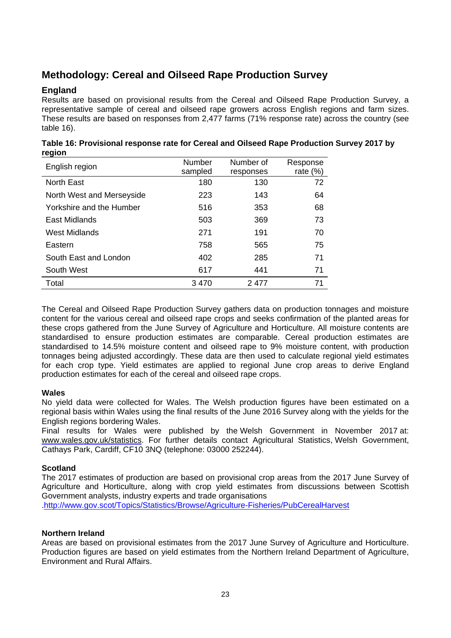# **Methodology: Cereal and Oilseed Rape Production Survey**

## **England**

Results are based on provisional results from the Cereal and Oilseed Rape Production Survey, a representative sample of cereal and oilseed rape growers across English regions and farm sizes. These results are based on responses from 2,477 farms (71% response rate) across the country (see table 16).

| 1.91<br>English region    | Number<br>sampled | Number of<br>responses | Response<br>rate $(\%)$ |
|---------------------------|-------------------|------------------------|-------------------------|
| <b>North East</b>         | 180               | 130                    | 72                      |
| North West and Merseyside | 223               | 143                    | 64                      |
| Yorkshire and the Humber  | 516               | 353                    | 68                      |
| East Midlands             | 503               | 369                    | 73                      |
| <b>West Midlands</b>      | 271               | 191                    | 70                      |
| Eastern                   | 758               | 565                    | 75                      |
| South East and London     | 402               | 285                    | 71                      |
| South West                | 617               | 441                    | 71                      |
| Total                     | 3470              | 2477                   | 71                      |

| Table 16: Provisional response rate for Cereal and Oilseed Rape Production Survey 2017 by |  |
|-------------------------------------------------------------------------------------------|--|
| region                                                                                    |  |

The Cereal and Oilseed Rape Production Survey gathers data on production tonnages and moisture content for the various cereal and oilseed rape crops and seeks confirmation of the planted areas for these crops gathered from the June Survey of Agriculture and Horticulture. All moisture contents are standardised to ensure production estimates are comparable. Cereal production estimates are standardised to 14.5% moisture content and oilseed rape to 9% moisture content, with production tonnages being adjusted accordingly. These data are then used to calculate regional yield estimates for each crop type. Yield estimates are applied to regional June crop areas to derive England production estimates for each of the cereal and oilseed rape crops.

## **Wales**

No yield data were collected for Wales. The Welsh production figures have been estimated on a regional basis within Wales using the final results of the June 2016 Survey along with the yields for the English regions bordering Wales.

Final results for Wales were published by the Welsh Government in November 2017 at: www.wales.gov.uk/statistics. For further details contact Agricultural Statistics, Welsh Government, Cathays Park, Cardiff, CF10 3NQ (telephone: 03000 252244).

## **Scotland**

The 2017 estimates of production are based on provisional crop areas from the 2017 June Survey of Agriculture and Horticulture, along with crop yield estimates from discussions between Scottish Government analysts, industry experts and trade organisations .http://www.gov.scot/Topics/Statistics/Browse/Agriculture-Fisheries/PubCerealHarvest

## **Northern Ireland**

Areas are based on provisional estimates from the 2017 June Survey of Agriculture and Horticulture. Production figures are based on yield estimates from the Northern Ireland Department of Agriculture, Environment and Rural Affairs.